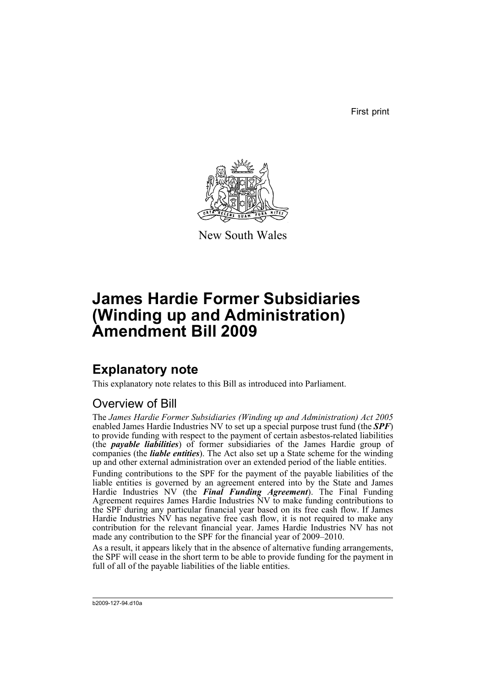First print



New South Wales

# **James Hardie Former Subsidiaries (Winding up and Administration) Amendment Bill 2009**

## **Explanatory note**

This explanatory note relates to this Bill as introduced into Parliament.

## Overview of Bill

The *James Hardie Former Subsidiaries (Winding up and Administration) Act 2005* enabled James Hardie Industries NV to set up a special purpose trust fund (the *SPF*) to provide funding with respect to the payment of certain asbestos-related liabilities (the *payable liabilities*) of former subsidiaries of the James Hardie group of companies (the *liable entities*). The Act also set up a State scheme for the winding up and other external administration over an extended period of the liable entities.

Funding contributions to the SPF for the payment of the payable liabilities of the liable entities is governed by an agreement entered into by the State and James Hardie Industries NV (the *Final Funding Agreement*). The Final Funding Agreement requires James Hardie Industries NV to make funding contributions to the SPF during any particular financial year based on its free cash flow. If James Hardie Industries  $N\hat{V}$  has negative free cash flow, it is not required to make any contribution for the relevant financial year. James Hardie Industries NV has not made any contribution to the SPF for the financial year of 2009–2010.

As a result, it appears likely that in the absence of alternative funding arrangements, the SPF will cease in the short term to be able to provide funding for the payment in full of all of the payable liabilities of the liable entities.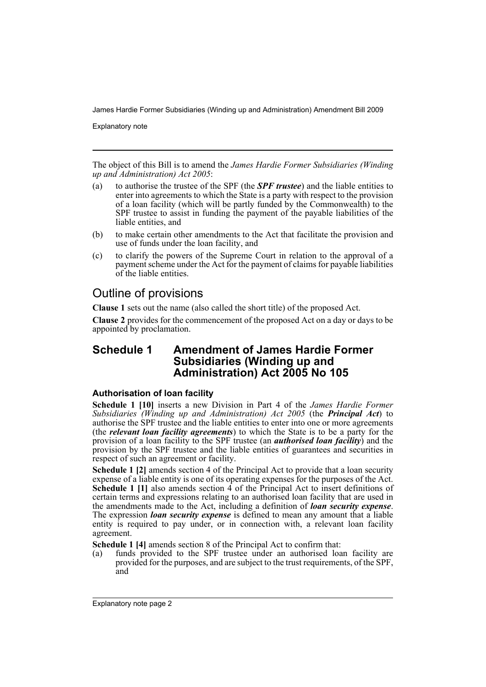Explanatory note

The object of this Bill is to amend the *James Hardie Former Subsidiaries (Winding up and Administration) Act 2005*:

- (a) to authorise the trustee of the SPF (the *SPF trustee*) and the liable entities to enter into agreements to which the State is a party with respect to the provision of a loan facility (which will be partly funded by the Commonwealth) to the SPF trustee to assist in funding the payment of the payable liabilities of the liable entities, and
- (b) to make certain other amendments to the Act that facilitate the provision and use of funds under the loan facility, and
- (c) to clarify the powers of the Supreme Court in relation to the approval of a payment scheme under the Act for the payment of claims for payable liabilities of the liable entities.

## Outline of provisions

**Clause 1** sets out the name (also called the short title) of the proposed Act.

**Clause 2** provides for the commencement of the proposed Act on a day or days to be appointed by proclamation.

### **Schedule 1 Amendment of James Hardie Former Subsidiaries (Winding up and Administration) Act 2005 No 105**

### **Authorisation of loan facility**

**Schedule 1 [10]** inserts a new Division in Part 4 of the *James Hardie Former Subsidiaries (Winding up and Administration) Act 2005* (the *Principal Act*) to authorise the SPF trustee and the liable entities to enter into one or more agreements (the *relevant loan facility agreements*) to which the State is to be a party for the provision of a loan facility to the SPF trustee (an *authorised loan facility*) and the provision by the SPF trustee and the liable entities of guarantees and securities in respect of such an agreement or facility.

**Schedule 1 [2]** amends section 4 of the Principal Act to provide that a loan security expense of a liable entity is one of its operating expenses for the purposes of the Act. **Schedule 1 [1]** also amends section 4 of the Principal Act to insert definitions of certain terms and expressions relating to an authorised loan facility that are used in the amendments made to the Act, including a definition of *loan security expense*. The expression *loan security expense* is defined to mean any amount that a liable entity is required to pay under, or in connection with, a relevant loan facility agreement.

**Schedule 1 [4]** amends section 8 of the Principal Act to confirm that:

(a) funds provided to the SPF trustee under an authorised loan facility are provided for the purposes, and are subject to the trust requirements, of the SPF, and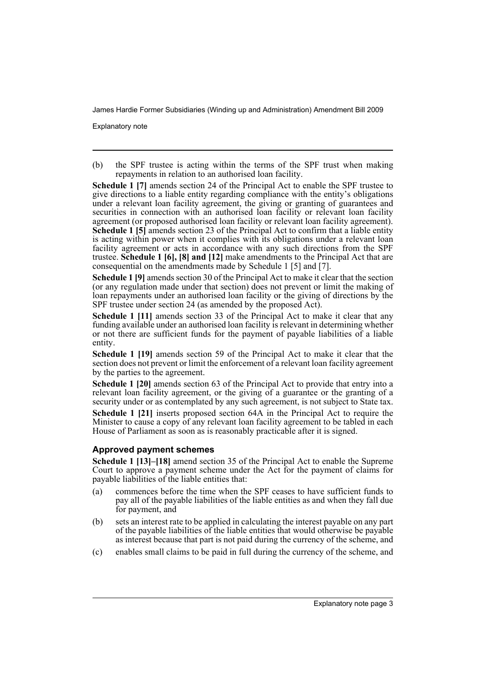Explanatory note

(b) the SPF trustee is acting within the terms of the SPF trust when making repayments in relation to an authorised loan facility.

**Schedule 1 [7]** amends section 24 of the Principal Act to enable the SPF trustee to give directions to a liable entity regarding compliance with the entity's obligations under a relevant loan facility agreement, the giving or granting of guarantees and securities in connection with an authorised loan facility or relevant loan facility agreement (or proposed authorised loan facility or relevant loan facility agreement). **Schedule 1 [5]** amends section 23 of the Principal Act to confirm that a liable entity is acting within power when it complies with its obligations under a relevant loan facility agreement or acts in accordance with any such directions from the SPF trustee. **Schedule 1 [6], [8] and [12]** make amendments to the Principal Act that are consequential on the amendments made by Schedule 1 [5] and [7].

**Schedule 1 [9]** amends section 30 of the Principal Act to make it clear that the section (or any regulation made under that section) does not prevent or limit the making of loan repayments under an authorised loan facility or the giving of directions by the SPF trustee under section 24 (as amended by the proposed Act).

**Schedule 1 [11]** amends section 33 of the Principal Act to make it clear that any funding available under an authorised loan facility is relevant in determining whether or not there are sufficient funds for the payment of payable liabilities of a liable entity.

**Schedule 1 [19]** amends section 59 of the Principal Act to make it clear that the section does not prevent or limit the enforcement of a relevant loan facility agreement by the parties to the agreement.

**Schedule 1 [20]** amends section 63 of the Principal Act to provide that entry into a relevant loan facility agreement, or the giving of a guarantee or the granting of a security under or as contemplated by any such agreement, is not subject to State tax.

**Schedule 1 [21]** inserts proposed section 64A in the Principal Act to require the Minister to cause a copy of any relevant loan facility agreement to be tabled in each House of Parliament as soon as is reasonably practicable after it is signed.

#### **Approved payment schemes**

**Schedule 1 [13]–[18]** amend section 35 of the Principal Act to enable the Supreme Court to approve a payment scheme under the Act for the payment of claims for payable liabilities of the liable entities that:

- (a) commences before the time when the SPF ceases to have sufficient funds to pay all of the payable liabilities of the liable entities as and when they fall due for payment, and
- (b) sets an interest rate to be applied in calculating the interest payable on any part of the payable liabilities of the liable entities that would otherwise be payable as interest because that part is not paid during the currency of the scheme, and
- (c) enables small claims to be paid in full during the currency of the scheme, and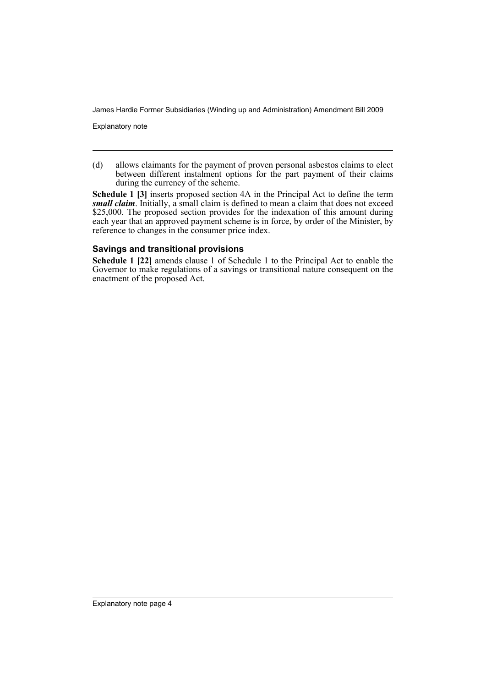Explanatory note

(d) allows claimants for the payment of proven personal asbestos claims to elect between different instalment options for the part payment of their claims during the currency of the scheme.

**Schedule 1 [3]** inserts proposed section 4A in the Principal Act to define the term *small claim*. Initially, a small claim is defined to mean a claim that does not exceed \$25,000. The proposed section provides for the indexation of this amount during each year that an approved payment scheme is in force, by order of the Minister, by reference to changes in the consumer price index.

### **Savings and transitional provisions**

**Schedule 1 [22]** amends clause 1 of Schedule 1 to the Principal Act to enable the Governor to make regulations of a savings or transitional nature consequent on the enactment of the proposed Act.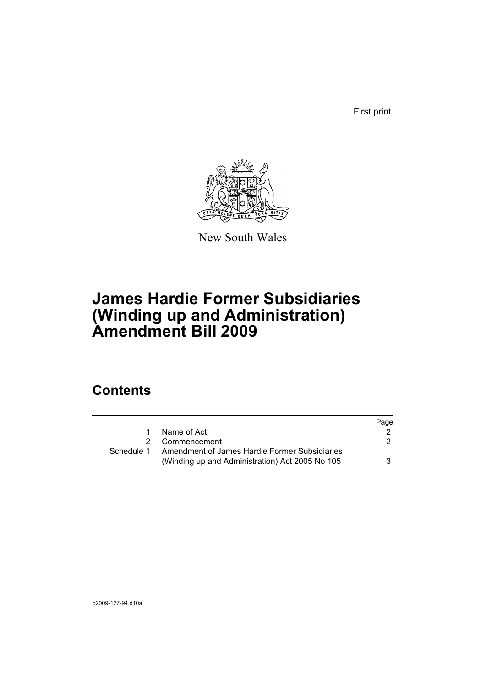First print



New South Wales

# **James Hardie Former Subsidiaries (Winding up and Administration) Amendment Bill 2009**

## **Contents**

|            |                                                                                                  | Page |
|------------|--------------------------------------------------------------------------------------------------|------|
|            | Name of Act                                                                                      |      |
| 2          | Commencement                                                                                     | 2    |
| Schedule 1 | Amendment of James Hardie Former Subsidiaries<br>(Winding up and Administration) Act 2005 No 105 | 3    |
|            |                                                                                                  |      |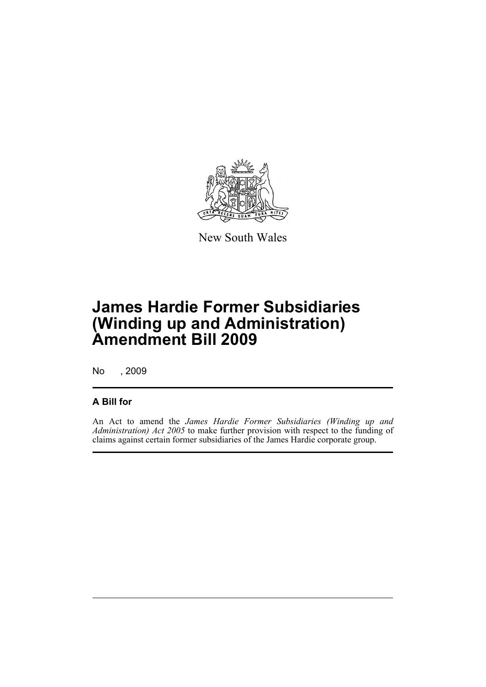

New South Wales

## **James Hardie Former Subsidiaries (Winding up and Administration) Amendment Bill 2009**

No , 2009

### **A Bill for**

An Act to amend the *James Hardie Former Subsidiaries (Winding up and Administration) Act 2005* to make further provision with respect to the funding of claims against certain former subsidiaries of the James Hardie corporate group.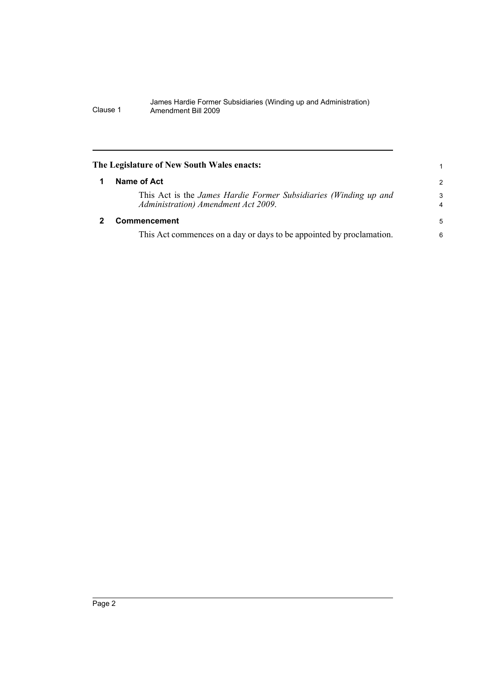<span id="page-7-1"></span><span id="page-7-0"></span>

| The Legislature of New South Wales enacts:                                                              | 1             |
|---------------------------------------------------------------------------------------------------------|---------------|
| Name of Act                                                                                             | $\mathcal{P}$ |
| This Act is the James Hardie Former Subsidiaries (Winding up and<br>Administration) Amendment Act 2009. | 3<br>4        |
| <b>Commencement</b>                                                                                     | 5             |
| This Act commences on a day or days to be appointed by proclamation.                                    | 6             |
|                                                                                                         |               |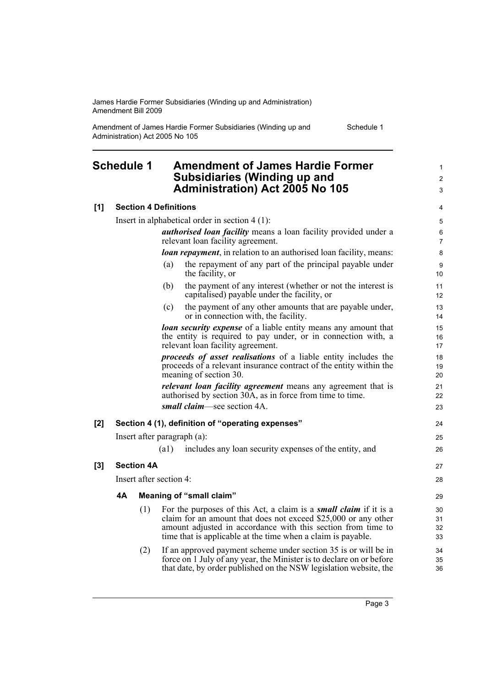Amendment of James Hardie Former Subsidiaries (Winding up and Administration) Act 2005 No 105

Schedule 1

1  $\mathfrak{p}$ 3

### <span id="page-8-0"></span>**Schedule 1 Amendment of James Hardie Former Subsidiaries (Winding up and Administration) Act 2005 No 105**

### **[1] Section 4 Definitions**

Insert in alphabetical order in section 4 (1): *authorised loan facility* means a loan facility provided under a relevant loan facility agreement. *loan repayment*, in relation to an authorised loan facility, means: (a) the repayment of any part of the principal payable under the facility, or (b) the payment of any interest (whether or not the interest is capitalised) payable under the facility, or (c) the payment of any other amounts that are payable under, or in connection with, the facility. *loan security expense* of a liable entity means any amount that the entity is required to pay under, or in connection with, a relevant loan facility agreement. *proceeds of asset realisations* of a liable entity includes the proceeds of a relevant insurance contract of the entity within the meaning of section 30. *relevant loan facility agreement* means any agreement that is authorised by section 30A, as in force from time to time. *small claim*—see section 4A. **[2] Section 4 (1), definition of "operating expenses"** Insert after paragraph (a): (a1) includes any loan security expenses of the entity, and **[3] Section 4A** Insert after section 4: **4A Meaning of "small claim"** (1) For the purposes of this Act, a claim is a *small claim* if it is a claim for an amount that does not exceed \$25,000 or any other amount adjusted in accordance with this section from time to time that is applicable at the time when a claim is payable. (2) If an approved payment scheme under section 35 is or will be in force on 1 July of any year, the Minister is to declare on or before that date, by order published on the NSW legislation website, the 10 11 12 13 14 15 16 17 18 19 20 21 22 23 24 25 26 27 28  $29$ 30 31 32 33 34 35 36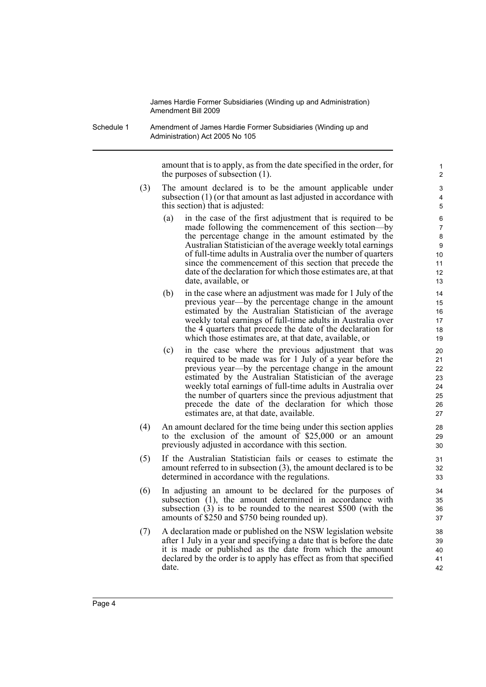Schedule 1 Amendment of James Hardie Former Subsidiaries (Winding up and Administration) Act 2005 No 105

> amount that is to apply, as from the date specified in the order, for the purposes of subsection (1).

- (3) The amount declared is to be the amount applicable under subsection (1) (or that amount as last adjusted in accordance with this section) that is adjusted:
	- (a) in the case of the first adjustment that is required to be made following the commencement of this section—by the percentage change in the amount estimated by the Australian Statistician of the average weekly total earnings of full-time adults in Australia over the number of quarters since the commencement of this section that precede the date of the declaration for which those estimates are, at that date, available, or
	- (b) in the case where an adjustment was made for 1 July of the previous year—by the percentage change in the amount estimated by the Australian Statistician of the average weekly total earnings of full-time adults in Australia over the 4 quarters that precede the date of the declaration for which those estimates are, at that date, available, or
	- (c) in the case where the previous adjustment that was required to be made was for 1 July of a year before the previous year—by the percentage change in the amount estimated by the Australian Statistician of the average weekly total earnings of full-time adults in Australia over the number of quarters since the previous adjustment that precede the date of the declaration for which those estimates are, at that date, available.
- (4) An amount declared for the time being under this section applies to the exclusion of the amount of \$25,000 or an amount previously adjusted in accordance with this section.
- (5) If the Australian Statistician fails or ceases to estimate the amount referred to in subsection (3), the amount declared is to be determined in accordance with the regulations.
- (6) In adjusting an amount to be declared for the purposes of subsection (1), the amount determined in accordance with subsection (3) is to be rounded to the nearest \$500 (with the amounts of \$250 and \$750 being rounded up).
- (7) A declaration made or published on the NSW legislation website after 1 July in a year and specifying a date that is before the date it is made or published as the date from which the amount declared by the order is to apply has effect as from that specified date.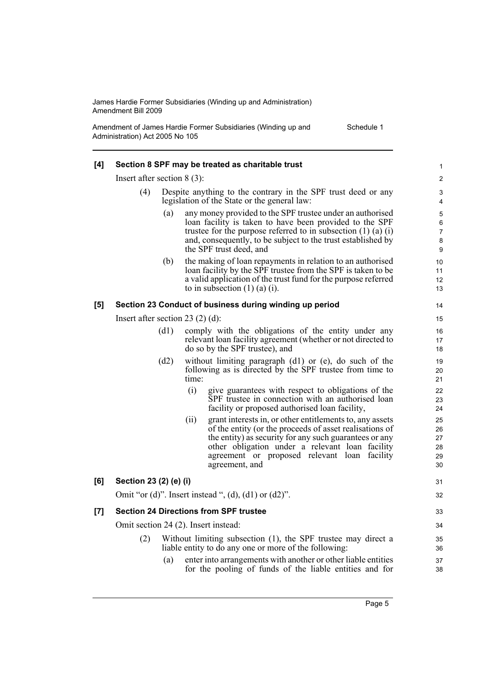Amendment of James Hardie Former Subsidiaries (Winding up and Administration) Act 2005 No 105

| Schedule 1 |  |  |
|------------|--|--|
|------------|--|--|

| [4] | Section 8 SPF may be treated as charitable trust                                                                                                              |                                                                                                                             |                                                                                                                                                                                                                                                                                                    |                                          |  |  |  |
|-----|---------------------------------------------------------------------------------------------------------------------------------------------------------------|-----------------------------------------------------------------------------------------------------------------------------|----------------------------------------------------------------------------------------------------------------------------------------------------------------------------------------------------------------------------------------------------------------------------------------------------|------------------------------------------|--|--|--|
|     | Insert after section $8(3)$ :                                                                                                                                 |                                                                                                                             |                                                                                                                                                                                                                                                                                                    |                                          |  |  |  |
|     | (4)<br>Despite anything to the contrary in the SPF trust deed or any<br>legislation of the State or the general law:                                          |                                                                                                                             |                                                                                                                                                                                                                                                                                                    |                                          |  |  |  |
|     |                                                                                                                                                               | (a)                                                                                                                         | any money provided to the SPF trustee under an authorised<br>loan facility is taken to have been provided to the SPF<br>trustee for the purpose referred to in subsection $(1)$ $(a)$ $(i)$<br>and, consequently, to be subject to the trust established by<br>the SPF trust deed, and             | 5<br>$\,6\,$<br>$\overline{7}$<br>8<br>9 |  |  |  |
|     |                                                                                                                                                               | (b)                                                                                                                         | the making of loan repayments in relation to an authorised<br>loan facility by the SPF trustee from the SPF is taken to be<br>a valid application of the trust fund for the purpose referred<br>to in subsection $(1)$ $(a)$ $(i)$ .                                                               | 10<br>11<br>12<br>13                     |  |  |  |
| [5] |                                                                                                                                                               |                                                                                                                             | Section 23 Conduct of business during winding up period                                                                                                                                                                                                                                            | 14                                       |  |  |  |
|     | Insert after section 23 $(2)$ $(d)$ :                                                                                                                         |                                                                                                                             |                                                                                                                                                                                                                                                                                                    | 15                                       |  |  |  |
|     | comply with the obligations of the entity under any<br>(d1)<br>relevant loan facility agreement (whether or not directed to<br>do so by the SPF trustee), and |                                                                                                                             |                                                                                                                                                                                                                                                                                                    |                                          |  |  |  |
|     | (d2)                                                                                                                                                          | without limiting paragraph (d1) or (e), do such of the<br>following as is directed by the SPF trustee from time to<br>time: | 19<br>20<br>21                                                                                                                                                                                                                                                                                     |                                          |  |  |  |
|     |                                                                                                                                                               | (i)                                                                                                                         | give guarantees with respect to obligations of the<br>SPF trustee in connection with an authorised loan<br>facility or proposed authorised loan facility,                                                                                                                                          | 22<br>23<br>24                           |  |  |  |
|     |                                                                                                                                                               | (ii)                                                                                                                        | grant interests in, or other entitlements to, any assets<br>of the entity (or the proceeds of asset realisations of<br>the entity) as security for any such guarantees or any<br>other obligation under a relevant loan facility<br>agreement or proposed relevant loan facility<br>agreement, and | 25<br>26<br>27<br>28<br>29<br>30         |  |  |  |
| [6] | Section 23 (2) (e) (i)                                                                                                                                        |                                                                                                                             |                                                                                                                                                                                                                                                                                                    | 31                                       |  |  |  |
|     |                                                                                                                                                               |                                                                                                                             | Omit "or (d)". Insert instead ", (d), (d1) or (d2)".                                                                                                                                                                                                                                               | 32                                       |  |  |  |
| [7] |                                                                                                                                                               |                                                                                                                             | <b>Section 24 Directions from SPF trustee</b>                                                                                                                                                                                                                                                      | 33                                       |  |  |  |
|     |                                                                                                                                                               | Omit section 24 (2). Insert instead:                                                                                        |                                                                                                                                                                                                                                                                                                    |                                          |  |  |  |
|     | Without limiting subsection (1), the SPF trustee may direct a<br>(2)<br>liable entity to do any one or more of the following:                                 |                                                                                                                             |                                                                                                                                                                                                                                                                                                    |                                          |  |  |  |
|     |                                                                                                                                                               | (a)                                                                                                                         | enter into arrangements with another or other liable entities<br>for the pooling of funds of the liable entities and for                                                                                                                                                                           | 37<br>38                                 |  |  |  |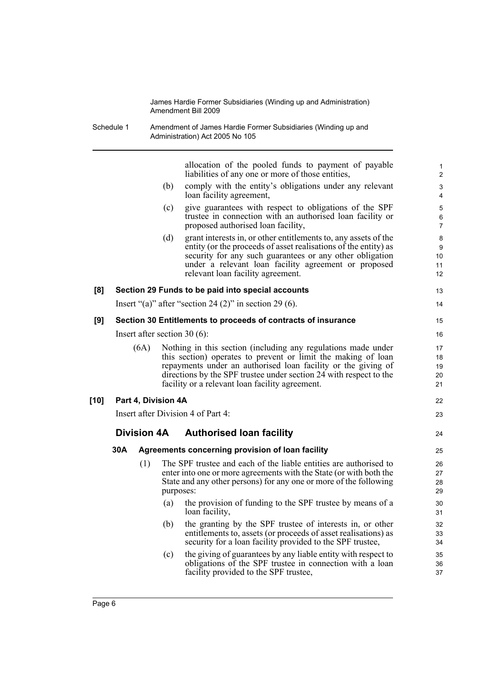|            |                                                        |                    |                                                                                                                                                                                                                                                                                                                          | James Hardie Former Subsidiaries (Winding up and Administration)<br>Amendment Bill 2009                                                                                                                                                                                                     |                          |  |  |
|------------|--------------------------------------------------------|--------------------|--------------------------------------------------------------------------------------------------------------------------------------------------------------------------------------------------------------------------------------------------------------------------------------------------------------------------|---------------------------------------------------------------------------------------------------------------------------------------------------------------------------------------------------------------------------------------------------------------------------------------------|--------------------------|--|--|
| Schedule 1 |                                                        |                    |                                                                                                                                                                                                                                                                                                                          | Amendment of James Hardie Former Subsidiaries (Winding up and<br>Administration) Act 2005 No 105                                                                                                                                                                                            |                          |  |  |
|            |                                                        |                    |                                                                                                                                                                                                                                                                                                                          | allocation of the pooled funds to payment of payable<br>liabilities of any one or more of those entities,                                                                                                                                                                                   | 1<br>$\overline{2}$      |  |  |
|            |                                                        |                    | (b)                                                                                                                                                                                                                                                                                                                      | comply with the entity's obligations under any relevant<br>loan facility agreement,                                                                                                                                                                                                         | 3<br>4                   |  |  |
|            |                                                        |                    | (c)                                                                                                                                                                                                                                                                                                                      | give guarantees with respect to obligations of the SPF<br>trustee in connection with an authorised loan facility or<br>proposed authorised loan facility,                                                                                                                                   | 5<br>6<br>$\overline{7}$ |  |  |
|            |                                                        |                    | (d)                                                                                                                                                                                                                                                                                                                      | grant interests in, or other entitlements to, any assets of the<br>entity (or the proceeds of asset realisations of the entity) as<br>security for any such guarantees or any other obligation<br>under a relevant loan facility agreement or proposed<br>relevant loan facility agreement. | 8<br>9<br>10<br>11<br>12 |  |  |
| [8]        |                                                        |                    |                                                                                                                                                                                                                                                                                                                          | Section 29 Funds to be paid into special accounts                                                                                                                                                                                                                                           | 13                       |  |  |
|            | Insert "(a)" after "section 24 (2)" in section 29 (6). |                    |                                                                                                                                                                                                                                                                                                                          |                                                                                                                                                                                                                                                                                             |                          |  |  |
| [9]        |                                                        |                    | Section 30 Entitlements to proceeds of contracts of insurance                                                                                                                                                                                                                                                            |                                                                                                                                                                                                                                                                                             |                          |  |  |
|            |                                                        |                    |                                                                                                                                                                                                                                                                                                                          | Insert after section 30 $(6)$ :                                                                                                                                                                                                                                                             | 16                       |  |  |
|            | (6A)                                                   |                    | Nothing in this section (including any regulations made under<br>this section) operates to prevent or limit the making of loan<br>repayments under an authorised loan facility or the giving of<br>directions by the SPF trustee under section 24 with respect to the<br>facility or a relevant loan facility agreement. |                                                                                                                                                                                                                                                                                             |                          |  |  |
| [10]       |                                                        |                    | Part 4, Division 4A                                                                                                                                                                                                                                                                                                      |                                                                                                                                                                                                                                                                                             | 22                       |  |  |
|            |                                                        |                    |                                                                                                                                                                                                                                                                                                                          | Insert after Division 4 of Part 4:                                                                                                                                                                                                                                                          | 23                       |  |  |
|            |                                                        | <b>Division 4A</b> |                                                                                                                                                                                                                                                                                                                          | <b>Authorised loan facility</b>                                                                                                                                                                                                                                                             | 24                       |  |  |
|            | 30A                                                    |                    |                                                                                                                                                                                                                                                                                                                          | Agreements concerning provision of loan facility                                                                                                                                                                                                                                            | 25                       |  |  |
|            |                                                        |                    |                                                                                                                                                                                                                                                                                                                          | (1) The SPF trustee and each of the liable entities are authorised to<br>enter into one or more agreements with the State (or with both the<br>State and any other persons) for any one or more of the following<br>purposes:                                                               | 26<br>27<br>28<br>29     |  |  |
|            |                                                        |                    | (a)                                                                                                                                                                                                                                                                                                                      | the provision of funding to the SPF trustee by means of a<br>loan facility,                                                                                                                                                                                                                 | 30<br>31                 |  |  |
|            |                                                        |                    | (b)                                                                                                                                                                                                                                                                                                                      | the granting by the SPF trustee of interests in, or other<br>entitlements to, assets (or proceeds of asset realisations) as<br>security for a loan facility provided to the SPF trustee,                                                                                                    | 32<br>33<br>34           |  |  |
|            |                                                        |                    | (c)                                                                                                                                                                                                                                                                                                                      | the giving of guarantees by any liable entity with respect to<br>obligations of the SPF trustee in connection with a loan<br>facility provided to the SPF trustee,                                                                                                                          | 35<br>36<br>37           |  |  |
|            |                                                        |                    |                                                                                                                                                                                                                                                                                                                          |                                                                                                                                                                                                                                                                                             |                          |  |  |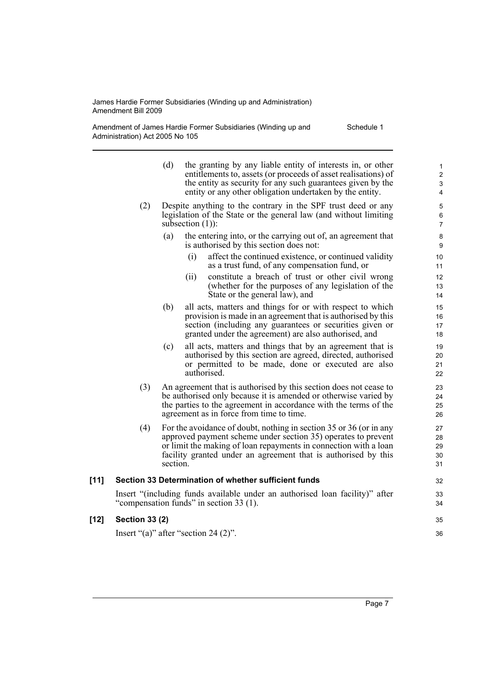$[12]$ 

Amendment of James Hardie Former Subsidiaries (Winding up and Administration) Act 2005 No 105 Schedule 1

|        |                                         | (d)                | the granting by any liable entity of interests in, or other<br>entitlements to, assets (or proceeds of asset realisations) of<br>the entity as security for any such guarantees given by the<br>entity or any other obligation undertaken by the entity.                  | 1<br>$\overline{c}$<br>$\ensuremath{\mathsf{3}}$<br>4 |
|--------|-----------------------------------------|--------------------|---------------------------------------------------------------------------------------------------------------------------------------------------------------------------------------------------------------------------------------------------------------------------|-------------------------------------------------------|
|        | (2)                                     | subsection $(1)$ : | Despite anything to the contrary in the SPF trust deed or any<br>legislation of the State or the general law (and without limiting                                                                                                                                        | $\mathbf 5$<br>$\,6\,$<br>$\overline{7}$              |
|        |                                         | (a)                | the entering into, or the carrying out of, an agreement that<br>is authorised by this section does not:                                                                                                                                                                   | 8<br>$\boldsymbol{9}$                                 |
|        |                                         | (i)                | affect the continued existence, or continued validity<br>as a trust fund, of any compensation fund, or                                                                                                                                                                    | 10<br>11                                              |
|        |                                         | (ii)               | constitute a breach of trust or other civil wrong<br>(whether for the purposes of any legislation of the<br>State or the general law), and                                                                                                                                | 12<br>13<br>14                                        |
|        |                                         | (b)                | all acts, matters and things for or with respect to which<br>provision is made in an agreement that is authorised by this<br>section (including any guarantees or securities given or<br>granted under the agreement) are also authorised, and                            | 15<br>16<br>17<br>18                                  |
|        |                                         | (c)                | all acts, matters and things that by an agreement that is<br>authorised by this section are agreed, directed, authorised<br>or permitted to be made, done or executed are also<br>authorised.                                                                             | 19<br>20<br>21<br>22                                  |
|        | (3)                                     |                    | An agreement that is authorised by this section does not cease to<br>be authorised only because it is amended or otherwise varied by<br>the parties to the agreement in accordance with the terms of the<br>agreement as in force from time to time.                      | 23<br>24<br>25<br>26                                  |
|        | (4)                                     | section.           | For the avoidance of doubt, nothing in section 35 or 36 (or in any<br>approved payment scheme under section 35) operates to prevent<br>or limit the making of loan repayments in connection with a loan<br>facility granted under an agreement that is authorised by this | 27<br>28<br>29<br>30<br>31                            |
| $[11]$ |                                         |                    | Section 33 Determination of whether sufficient funds                                                                                                                                                                                                                      | 32                                                    |
|        |                                         |                    | Insert "(including funds available under an authorised loan facility)" after<br>"compensation funds" in section 33 (1).                                                                                                                                                   | 33<br>34                                              |
| [12]   | <b>Section 33 (2)</b>                   |                    |                                                                                                                                                                                                                                                                           | 35                                                    |
|        | Insert "(a)" after "section 24 $(2)$ ". |                    |                                                                                                                                                                                                                                                                           | 36                                                    |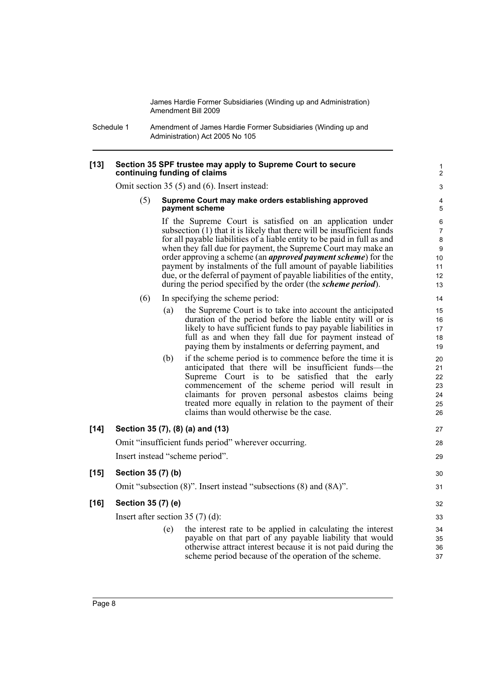Schedule 1 Amendment of James Hardie Former Subsidiaries (Winding up and Administration) Act 2005 No 105

#### **[13] Section 35 SPF trustee may apply to Supreme Court to secure continuing funding of claims**

Omit section 35 (5) and (6). Insert instead:

(5) **Supreme Court may make orders establishing approved payment scheme**

> If the Supreme Court is satisfied on an application under subsection (1) that it is likely that there will be insufficient funds for all payable liabilities of a liable entity to be paid in full as and when they fall due for payment, the Supreme Court may make an order approving a scheme (an *approved payment scheme*) for the payment by instalments of the full amount of payable liabilities due, or the deferral of payment of payable liabilities of the entity, during the period specified by the order (the *scheme period*).

- (6) In specifying the scheme period:
	- (a) the Supreme Court is to take into account the anticipated duration of the period before the liable entity will or is likely to have sufficient funds to pay payable liabilities in full as and when they fall due for payment instead of paying them by instalments or deferring payment, and
	- (b) if the scheme period is to commence before the time it is anticipated that there will be insufficient funds—the Supreme Court is to be satisfied that the early commencement of the scheme period will result in claimants for proven personal asbestos claims being treated more equally in relation to the payment of their claims than would otherwise be the case.

### **[14] Section 35 (7), (8) (a) and (13)**

Omit "insufficient funds period" wherever occurring. Insert instead "scheme period".

### Omit "subsection (8)". Insert instead "subsections (8) and (8A)".

#### **[16] Section 35 (7) (e)**

**[15] Section 35 (7) (b)**

Insert after section 35 (7) (d):

(e) the interest rate to be applied in calculating the interest payable on that part of any payable liability that would otherwise attract interest because it is not paid during the scheme period because of the operation of the scheme.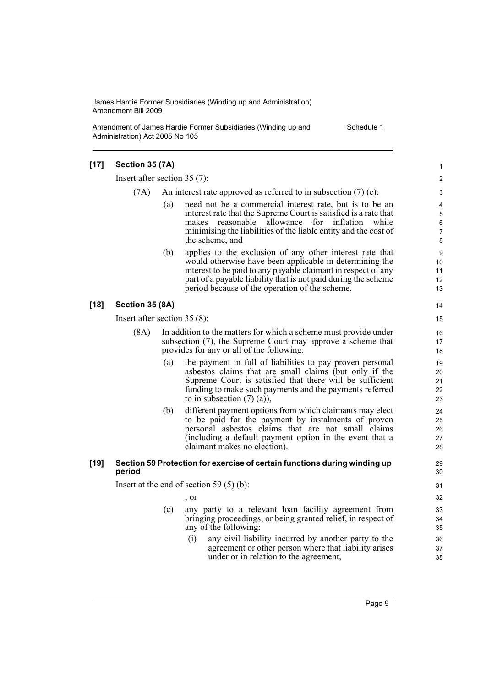Amendment of James Hardie Former Subsidiaries (Winding up and Administration) Act 2005 No 105

Schedule 1

#### **[17] Section 35 (7A)** Insert after section 35 (7): (7A) An interest rate approved as referred to in subsection  $(7)$  (e): (a) need not be a commercial interest rate, but is to be an interest rate that the Supreme Court is satisfied is a rate that makes reasonable allowance for inflation while minimising the liabilities of the liable entity and the cost of the scheme, and (b) applies to the exclusion of any other interest rate that would otherwise have been applicable in determining the interest to be paid to any payable claimant in respect of any part of a payable liability that is not paid during the scheme period because of the operation of the scheme. **[18] Section 35 (8A)** Insert after section 35 (8): (8A) In addition to the matters for which a scheme must provide under subsection (7), the Supreme Court may approve a scheme that provides for any or all of the following: (a) the payment in full of liabilities to pay proven personal asbestos claims that are small claims (but only if the Supreme Court is satisfied that there will be sufficient funding to make such payments and the payments referred to in subsection  $(7)$   $(a)$ ), (b) different payment options from which claimants may elect to be paid for the payment by instalments of proven personal asbestos claims that are not small claims (including a default payment option in the event that a claimant makes no election). **[19] Section 59 Protection for exercise of certain functions during winding up period** Insert at the end of section 59 (5) (b): , or (c) any party to a relevant loan facility agreement from bringing proceedings, or being granted relief, in respect of any of the following: (i) any civil liability incurred by another party to the agreement or other person where that liability arises under or in relation to the agreement, 1  $\mathfrak{p}$ 3 4 5 6 7 8 9 10 11 12 13 14 15 16 17 18 19 20 21  $22$ 23 24 25 26 27 28  $29$ 30 31 32 33 34 35 36 37 38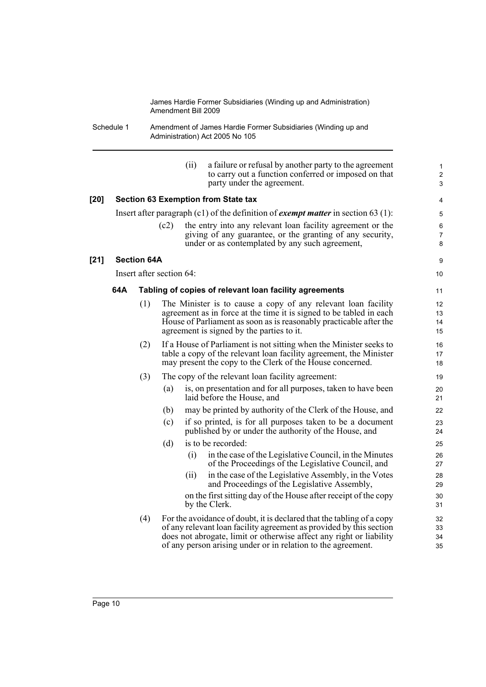Schedule 1 Amendment of James Hardie Former Subsidiaries (Winding up and Administration) Act 2005 No 105

|      |     |                    |                          | (ii) | a failure or refusal by another party to the agreement<br>to carry out a function conferred or imposed on that<br>party under the agreement.                                                                                                                                        | $\mathbf{1}$<br>$\boldsymbol{2}$<br>3 |
|------|-----|--------------------|--------------------------|------|-------------------------------------------------------------------------------------------------------------------------------------------------------------------------------------------------------------------------------------------------------------------------------------|---------------------------------------|
| [20] |     |                    |                          |      | <b>Section 63 Exemption from State tax</b>                                                                                                                                                                                                                                          | 4                                     |
|      |     |                    |                          |      | Insert after paragraph (c1) of the definition of <i>exempt matter</i> in section 63 (1):                                                                                                                                                                                            | 5                                     |
|      |     |                    | (c2)                     |      | the entry into any relevant loan facility agreement or the<br>giving of any guarantee, or the granting of any security,<br>under or as contemplated by any such agreement,                                                                                                          | 6<br>$\overline{7}$<br>8              |
| [21] |     | <b>Section 64A</b> |                          |      |                                                                                                                                                                                                                                                                                     | 9                                     |
|      |     |                    | Insert after section 64: |      |                                                                                                                                                                                                                                                                                     | 10                                    |
|      | 64A |                    |                          |      | Tabling of copies of relevant loan facility agreements                                                                                                                                                                                                                              | 11                                    |
|      |     | (1)                |                          |      | The Minister is to cause a copy of any relevant loan facility<br>agreement as in force at the time it is signed to be tabled in each<br>House of Parliament as soon as is reasonably practicable after the<br>agreement is signed by the parties to it.                             | 12<br>13<br>14<br>15                  |
|      |     | (2)                |                          |      | If a House of Parliament is not sitting when the Minister seeks to<br>table a copy of the relevant loan facility agreement, the Minister<br>may present the copy to the Clerk of the House concerned.                                                                               | 16<br>17<br>18                        |
|      |     | (3)                |                          |      | The copy of the relevant loan facility agreement:                                                                                                                                                                                                                                   | 19                                    |
|      |     |                    | (a)                      |      | is, on presentation and for all purposes, taken to have been<br>laid before the House, and                                                                                                                                                                                          | 20<br>21                              |
|      |     |                    | (b)                      |      | may be printed by authority of the Clerk of the House, and                                                                                                                                                                                                                          | 22                                    |
|      |     |                    | (c)                      |      | if so printed, is for all purposes taken to be a document<br>published by or under the authority of the House, and                                                                                                                                                                  | 23<br>24                              |
|      |     |                    | (d)                      |      | is to be recorded:                                                                                                                                                                                                                                                                  | 25                                    |
|      |     |                    |                          | (i)  | in the case of the Legislative Council, in the Minutes<br>of the Proceedings of the Legislative Council, and                                                                                                                                                                        | 26<br>27                              |
|      |     |                    |                          | (i)  | in the case of the Legislative Assembly, in the Votes<br>and Proceedings of the Legislative Assembly,                                                                                                                                                                               | 28<br>29                              |
|      |     |                    |                          |      | on the first sitting day of the House after receipt of the copy<br>by the Clerk.                                                                                                                                                                                                    | 30<br>31                              |
|      |     | (4)                |                          |      | For the avoidance of doubt, it is declared that the tabling of a copy<br>of any relevant loan facility agreement as provided by this section<br>does not abrogate, limit or otherwise affect any right or liability<br>of any person arising under or in relation to the agreement. | 32<br>33<br>34<br>35                  |